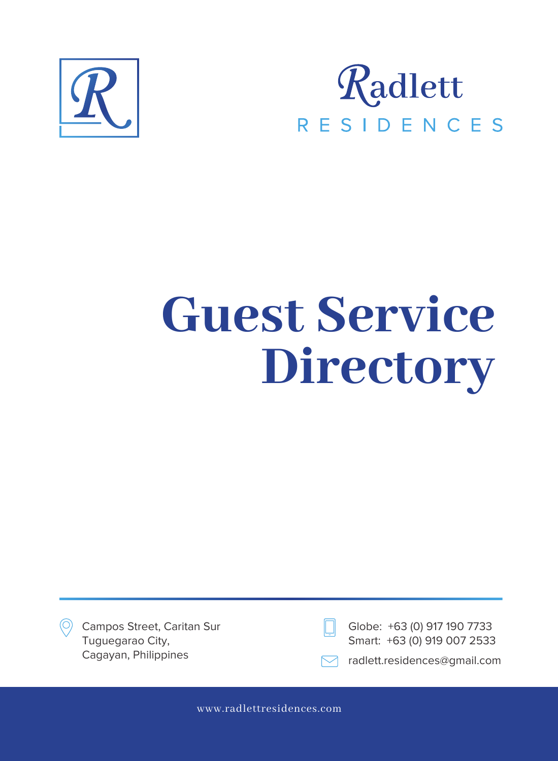



Campos Street, Caritan Sur Tuguegarao City,



Globe: +63 (0) 917 190 7733 Smart: +63 (0) 919 007 2533

Cagayan, Philippines radio radlett.residences@gmail.com

www.radlettresidences.com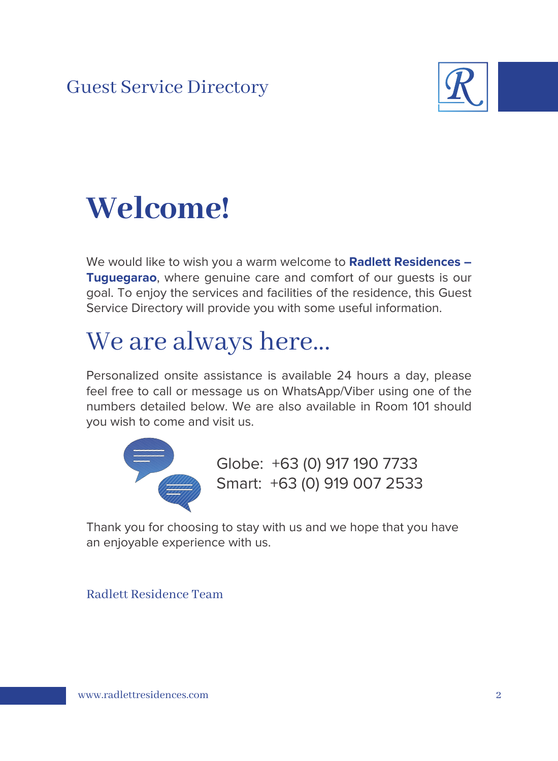

## **Welcome!**

We would like to wish you a warm welcome to **Radlett Residences – Tuguegarao**, where genuine care and comfort of our guests is our goal. To enjoy the services and facilities of the residence, this Guest Service Directory will provide you with some useful information.

## We are always here...

Personalized onsite assistance is available 24 hours a day, please feel free to call or message us on WhatsApp/Viber using one of the numbers detailed below. We are also available in Room 101 should you wish to come and visit us.



Globe: +63 (0) 917 190 7733 Smart: +63 (0) 919 007 2533

Thank you for choosing to stay with us and we hope that you have an enjoyable experience with us.

### Radlett Residence Team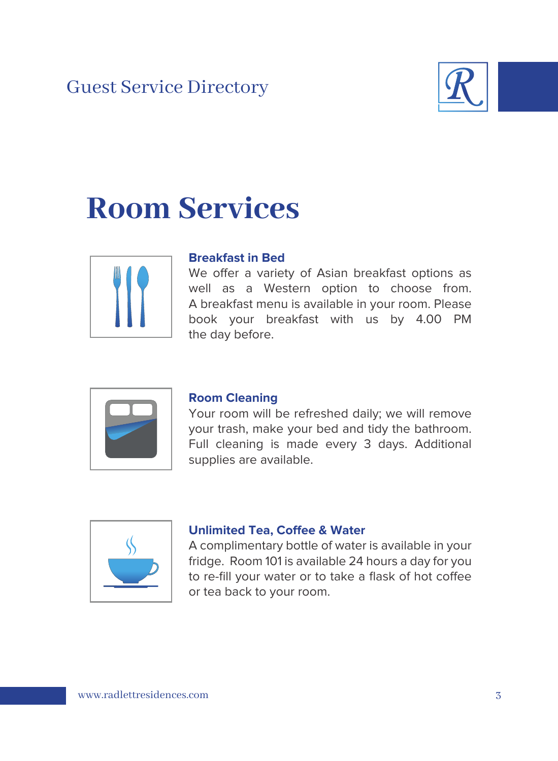

## **Room Services**



#### **Breakfast in Bed**

We offer a variety of Asian breakfast options as well as a Western option to choose from. A breakfast menu is available in your room. Please book your breakfast with us by 4.00 PM the day before.



#### **Room Cleaning**

Your room will be refreshed daily; we will remove your trash, make your bed and tidy the bathroom. Full cleaning is made every 3 days. Additional supplies are available.



#### **Unlimited Tea, Coffee & Water**

A complimentary bottle of water is available in your fridge. Room 101 is available 24 hours a day for you to re-fill your water or to take a flask of hot coffee or tea back to your room.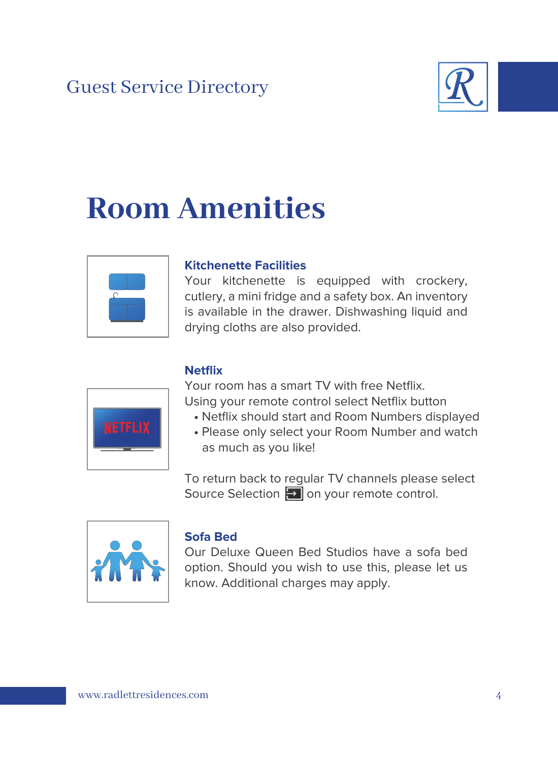

## **Room Amenities**



### **Kitchenette Facilities**

Your kitchenette is equipped with crockery, cutlery, a mini fridge and a safety box. An inventory is available in the drawer. Dishwashing liquid and drying cloths are also provided.



### **Netflix**

Your room has a smart TV with free Netflix. Using your remote control select Netflix button

- Netflix should start and Room Numbers displayed
- Please only select your Room Number and watch as much as you like!

To return back to regular TV channels please select Source Selection  $\Box$  on your remote control.



### **Sofa Bed**

Our Deluxe Queen Bed Studios have a sofa bed option. Should you wish to use this, please let us know. Additional charges may apply.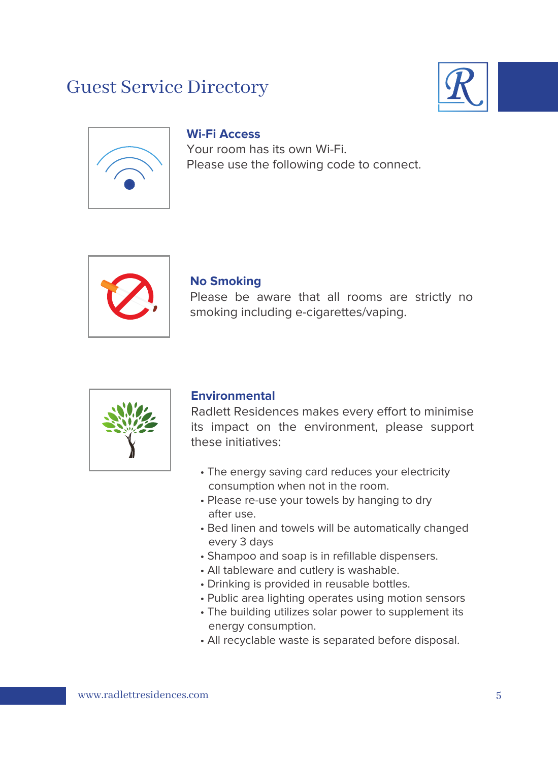



### **Wi-Fi Access**

Your room has its own Wi-Fi. Please use the following code to connect.



#### **No Smoking**

Please be aware that all rooms are strictly no smoking including e-cigarettes/vaping.



#### **Environmental**

Radlett Residences makes every effort to minimise its impact on the environment, please support these initiatives:

- The energy saving card reduces your electricity consumption when not in the room.
- Please re-use your towels by hanging to dry after use.
- Bed linen and towels will be automatically changed every 3 days
- Shampoo and soap is in refillable dispensers.
- All tableware and cutlery is washable.
- Drinking is provided in reusable bottles.
- Public area lighting operates using motion sensors
- The building utilizes solar power to supplement its energy consumption.
- All recyclable waste is separated before disposal.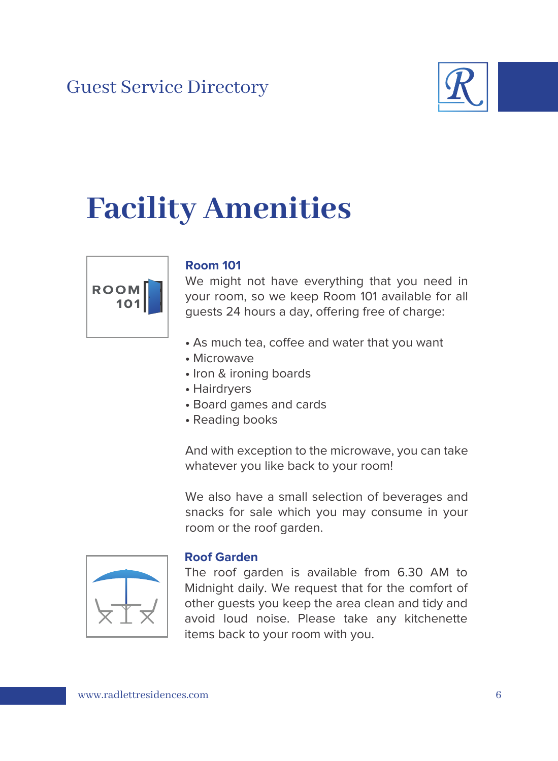

## **Facility Amenities**



### **Room 101**

We might not have everything that you need in your room, so we keep Room 101 available for all guests 24 hours a day, offering free of charge:

- As much tea, coffee and water that you want
- Microwave
- Iron & ironing boards
- Hairdryers
- Board games and cards
- Reading books

And with exception to the microwave, you can take whatever you like back to your room!

We also have a small selection of beverages and snacks for sale which you may consume in your room or the roof garden.



#### **Roof Garden**

The roof garden is available from 6.30 AM to Midnight daily. We request that for the comfort of other guests you keep the area clean and tidy and avoid loud noise. Please take any kitchenette items back to your room with you.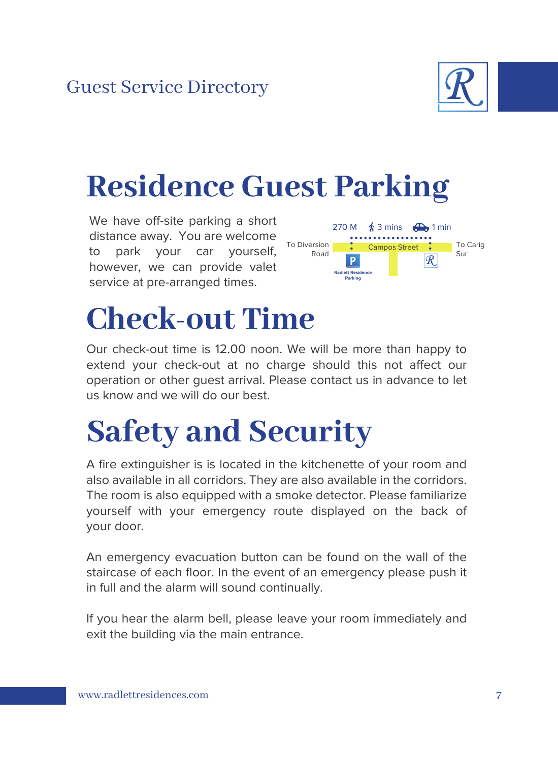

## **Residence Guest Parking**

We have off-site parking a short distance away. You are welcome to park your car yourself, however, we can provide valet service at pre-arranged times.



## **Check-out Time**

Our check-out time is 12.00 noon. We will be more than happy to extend your check-out at no charge should this not affect our operation or other guest arrival. Please contact us in advance to let us know and we will do our best.

## **Safety and Security**

A fire extinguisher is is located in the kitchenette of your room and also available in all corridors. They are also available in the corridors. The room is also equipped with a smoke detector. Please familiarize yourself with your emergency route displayed on the back of your door.

An emergency evacuation button can be found on the wall of the staircase of each floor. In the event of an emergency please push it in full and the alarm will sound continually.

If you hear the alarm bell, please leave your room immediately and exit the building via the main entrance.